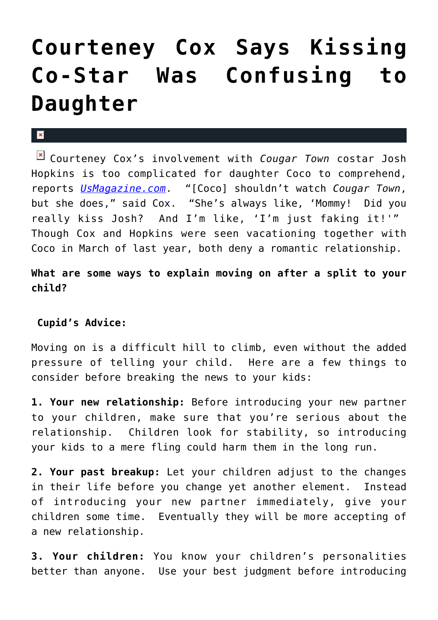## **[Courteney Cox Says Kissing](https://cupidspulse.com/25267/courteney-cox-says-kissing-co-star-josh-hopkins-confusing-to-daughter-coco-with-ex-david-arquette/) [Co-Star Was Confusing to](https://cupidspulse.com/25267/courteney-cox-says-kissing-co-star-josh-hopkins-confusing-to-daughter-coco-with-ex-david-arquette/) [Daughter](https://cupidspulse.com/25267/courteney-cox-says-kissing-co-star-josh-hopkins-confusing-to-daughter-coco-with-ex-david-arquette/)**

## $\mathbf{x}$

Courteney Cox's involvement with *Cougar Town* costar Josh Hopkins is too complicated for daughter Coco to comprehend, reports *[UsMagazine.com](http://www.usmagazine.com/celebrity-news/news/courteney-cox-kissing-josh-hopkins-on-cougar-town-confused-coco-2012111)*. "[Coco] shouldn't watch *Cougar Town*, but she does," said Cox. "She's always like, 'Mommy! Did you really kiss Josh? And I'm like, 'I'm just faking it!'" Though Cox and Hopkins were seen vacationing together with Coco in March of last year, both deny a romantic relationship.

**What are some ways to explain moving on after a split to your child?**

## **Cupid's Advice:**

Moving on is a difficult hill to climb, even without the added pressure of telling your child. Here are a few things to consider before breaking the news to your kids:

**1. Your new relationship:** Before introducing your new partner to your children, make sure that you're serious about the relationship. Children look for stability, so introducing your kids to a mere fling could harm them in the long run.

**2. Your past breakup:** Let your children adjust to the changes in their life before you change yet another element. Instead of introducing your new partner immediately, give your children some time. Eventually they will be more accepting of a new relationship.

**3. Your children:** You know your children's personalities better than anyone. Use your best judgment before introducing